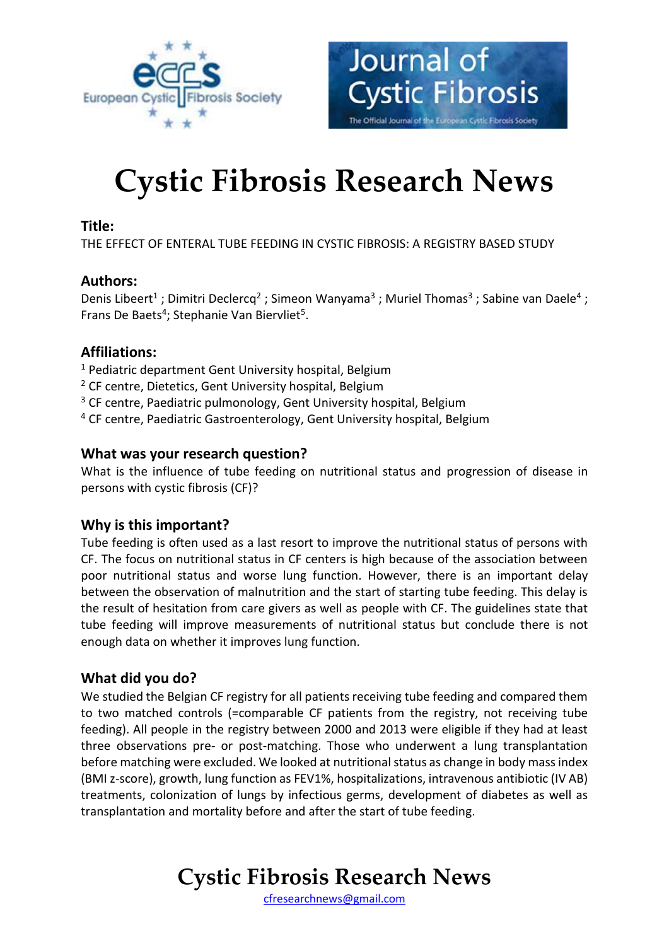



# **Cystic Fibrosis Research News**

#### **Title:**

THE EFFECT OF ENTERAL TUBE FEEDING IN CYSTIC FIBROSIS: A REGISTRY BASED STUDY

#### **Authors:**

Denis Libeert<sup>1</sup>; Dimitri Declercq<sup>2</sup>; Simeon Wanyama<sup>3</sup>; Muriel Thomas<sup>3</sup>; Sabine van Daele<sup>4</sup>; Frans De Baets<sup>4</sup>; Stephanie Van Biervliet<sup>5</sup>.

#### **Affiliations:**

- <sup>1</sup> Pediatric department Gent University hospital, Belgium
- <sup>2</sup> CF centre, Dietetics, Gent University hospital, Belgium
- <sup>3</sup> CF centre, Paediatric pulmonology, Gent University hospital, Belgium
- <sup>4</sup> CF centre, Paediatric Gastroenterology, Gent University hospital, Belgium

#### **What was your research question?**

What is the influence of tube feeding on nutritional status and progression of disease in persons with cystic fibrosis (CF)?

#### **Why is this important?**

Tube feeding is often used as a last resort to improve the nutritional status of persons with CF. The focus on nutritional status in CF centers is high because of the association between poor nutritional status and worse lung function. However, there is an important delay between the observation of malnutrition and the start of starting tube feeding. This delay is the result of hesitation from care givers as well as people with CF. The guidelines state that tube feeding will improve measurements of nutritional status but conclude there is not enough data on whether it improves lung function.

#### **What did you do?**

We studied the Belgian CF registry for all patients receiving tube feeding and compared them to two matched controls (=comparable CF patients from the registry, not receiving tube feeding). All people in the registry between 2000 and 2013 were eligible if they had at least three observations pre- or post-matching. Those who underwent a lung transplantation before matching were excluded. We looked at nutritional status as change in body mass index (BMI z-score), growth, lung function as FEV1%, hospitalizations, intravenous antibiotic (IV AB) treatments, colonization of lungs by infectious germs, development of diabetes as well as transplantation and mortality before and after the start of tube feeding.

**Cystic Fibrosis Research News**

[cfresearchnews@gmail.com](mailto:cfresearchnews@gmail.com)